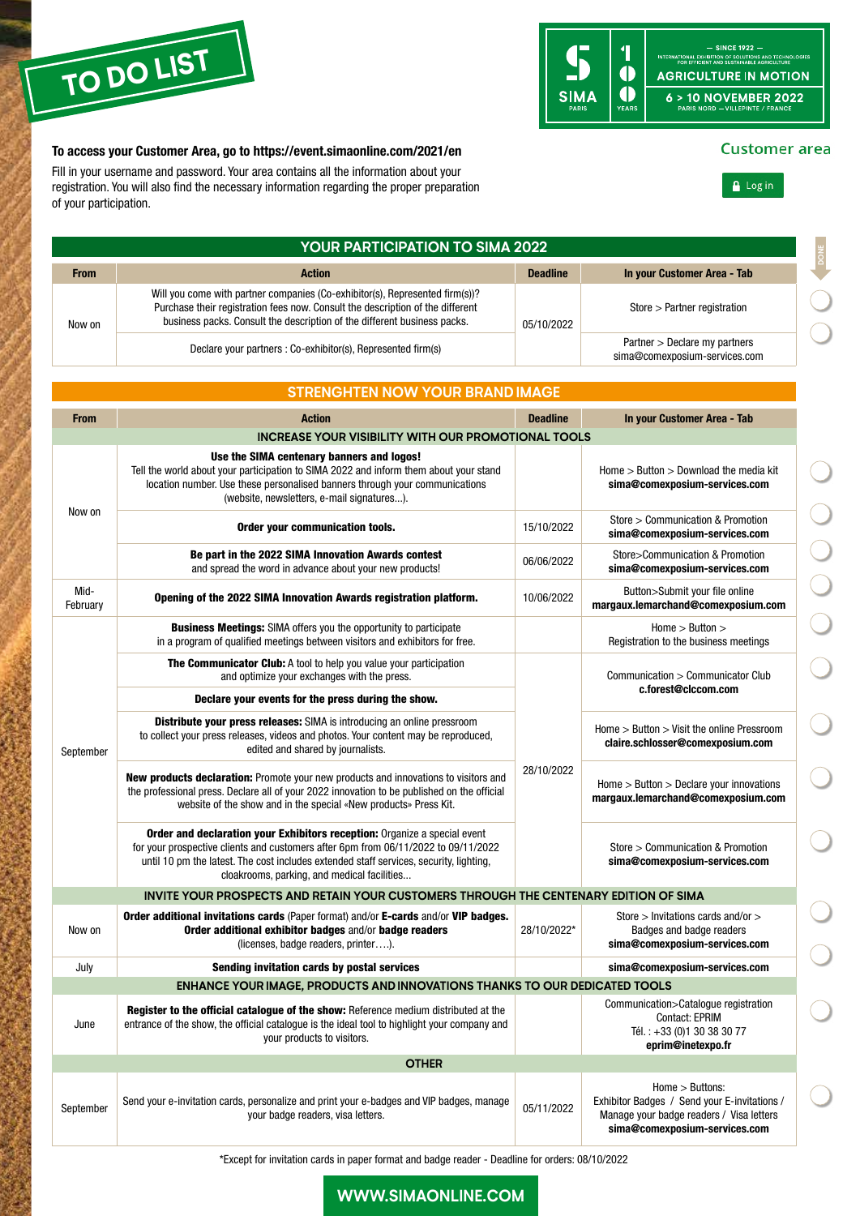

#### - SINCE 1922 -<br>International exhibition of solutions and technologies<br>For efficient and sustainable agriculture  $\overline{\mathbf{1}}$  $\ddot{\bullet}$ **AGRICULTURE IN MOTION** VEARS **SIMA**  $6 > 10$  NOVEMBER 2022

#### To access your Customer Area, go to<https://event.simaonline.com/2021/en>

Fill in your username and password. Your area contains all the information about your registration. You will also find the necessary information regarding the proper preparation of your participation.

| <b>YOUR PARTICIPATION TO SIMA 2022</b> |                                                                                                                                                                                                                                                                                                          |                 |                                                                                                                                              |  |  |  |  |
|----------------------------------------|----------------------------------------------------------------------------------------------------------------------------------------------------------------------------------------------------------------------------------------------------------------------------------------------------------|-----------------|----------------------------------------------------------------------------------------------------------------------------------------------|--|--|--|--|
| <b>From</b>                            | <b>Action</b>                                                                                                                                                                                                                                                                                            | <b>Deadline</b> | In your Customer Area - Tab                                                                                                                  |  |  |  |  |
| Now on                                 | Will you come with partner companies (Co-exhibitor(s), Represented firm(s))?<br>Purchase their registration fees now. Consult the description of the different<br>business packs. Consult the description of the different business packs.                                                               | 05/10/2022      | $Store > Partner$ registration                                                                                                               |  |  |  |  |
|                                        | Declare your partners : Co-exhibitor(s), Represented firm(s)                                                                                                                                                                                                                                             |                 | Partner > Declare my partners<br>sima@comexposium-services.com                                                                               |  |  |  |  |
|                                        |                                                                                                                                                                                                                                                                                                          |                 |                                                                                                                                              |  |  |  |  |
|                                        | <b>STRENGHTEN NOW YOUR BRAND IMAGE</b>                                                                                                                                                                                                                                                                   |                 |                                                                                                                                              |  |  |  |  |
| <b>From</b>                            | <b>Action</b>                                                                                                                                                                                                                                                                                            | <b>Deadline</b> | In your Customer Area - Tab                                                                                                                  |  |  |  |  |
|                                        | <b>INCREASE YOUR VISIBILITY WITH OUR PROMOTIONAL TOOLS</b>                                                                                                                                                                                                                                               |                 |                                                                                                                                              |  |  |  |  |
| Now on                                 | Use the SIMA centenary banners and logos!<br>Tell the world about your participation to SIMA 2022 and inform them about your stand<br>location number. Use these personalised banners through your communications<br>(website, newsletters, e-mail signatures).                                          |                 | Home $>$ Button $>$ Download the media kit<br>sima@comexposium-services.com                                                                  |  |  |  |  |
|                                        | Order your communication tools.                                                                                                                                                                                                                                                                          | 15/10/2022      | Store > Communication & Promotion<br>sima@comexposium-services.com                                                                           |  |  |  |  |
|                                        | Be part in the 2022 SIMA Innovation Awards contest<br>and spread the word in advance about your new products!                                                                                                                                                                                            | 06/06/2022      | Store>Communication & Promotion<br>sima@comexposium-services.com                                                                             |  |  |  |  |
| Mid-<br>February                       | Opening of the 2022 SIMA Innovation Awards registration platform.                                                                                                                                                                                                                                        | 10/06/2022      | Button>Submit your file online<br>margaux.lemarchand@comexposium.com                                                                         |  |  |  |  |
|                                        | <b>Business Meetings:</b> SIMA offers you the opportunity to participate<br>in a program of qualified meetings between visitors and exhibitors for free.                                                                                                                                                 |                 | Home > Butteron ><br>Registration to the business meetings                                                                                   |  |  |  |  |
|                                        | The Communicator Club: A tool to help you value your participation<br>and optimize your exchanges with the press.                                                                                                                                                                                        |                 | Communication > Communicator Club<br>c.forest@clccom.com                                                                                     |  |  |  |  |
|                                        | Declare your events for the press during the show.                                                                                                                                                                                                                                                       |                 |                                                                                                                                              |  |  |  |  |
| September                              | Distribute your press releases: SIMA is introducing an online pressroom<br>to collect your press releases, videos and photos. Your content may be reproduced,<br>edited and shared by journalists.                                                                                                       |                 | Home $>$ Button $>$ Visit the online Pressroom<br>claire.schlosser@comexposium.com                                                           |  |  |  |  |
|                                        | New products declaration: Promote your new products and innovations to visitors and<br>the professional press. Declare all of your 2022 innovation to be published on the official<br>website of the show and in the special «New products» Press Kit.                                                   | 28/10/2022      | Home $>$ Button $>$ Declare your innovations<br>margaux.lemarchand@comexposium.com                                                           |  |  |  |  |
|                                        | Order and declaration your Exhibitors reception: Organize a special event<br>for your prospective clients and customers after 6pm from 06/11/2022 to 09/11/2022<br>until 10 pm the latest. The cost includes extended staff services, security, lighting,<br>cloakrooms, parking, and medical facilities |                 | Store > Communication & Promotion<br>sima@comexposium-services.com                                                                           |  |  |  |  |
|                                        | INVITE YOUR PROSPECTS AND RETAIN YOUR CUSTOMERS THROUGH THE CENTENARY EDITION OF SIMA                                                                                                                                                                                                                    |                 |                                                                                                                                              |  |  |  |  |
| Now on                                 | Order additional invitations cards (Paper format) and/or E-cards and/or VIP badges.<br>Order additional exhibitor badges and/or badge readers<br>(licenses, badge readers, printer).                                                                                                                     | 28/10/2022*     | Store $>$ Invitations cards and/or $>$<br>Badges and badge readers<br>sima@comexposium-services.com                                          |  |  |  |  |
| July                                   | Sending invitation cards by postal services                                                                                                                                                                                                                                                              |                 | sima@comexposium-services.com                                                                                                                |  |  |  |  |
|                                        | <b>ENHANCE YOUR IMAGE, PRODUCTS AND INNOVATIONS THANKS TO OUR DEDICATED TOOLS</b>                                                                                                                                                                                                                        |                 |                                                                                                                                              |  |  |  |  |
| June                                   | <b>Register to the official catalogue of the show:</b> Reference medium distributed at the<br>entrance of the show, the official catalogue is the ideal tool to highlight your company and<br>your products to visitors.                                                                                 |                 | Communication>Catalogue registration<br>Contact: EPRIM<br>Tél.: +33 (0)1 30 38 30 77<br>eprim@inetexpo.fr                                    |  |  |  |  |
| <b>OTHER</b>                           |                                                                                                                                                                                                                                                                                                          |                 |                                                                                                                                              |  |  |  |  |
| September                              | Send your e-invitation cards, personalize and print your e-badges and VIP badges, manage<br>your badge readers, visa letters.                                                                                                                                                                            | 05/11/2022      | Home > Buttons:<br>Exhibitor Badges / Send your E-invitations /<br>Manage your badge readers / Visa letters<br>sima@comexposium-services.com |  |  |  |  |

\*Except for invitation cards in paper format and badge reader - Deadline for orders: 08/10/2022

## **Customer** area

 $\triangle$  Log in

**DONE**



## **[WWW.SIMAONLINE.COM](http://WWW.SIMAONLINE.COM)**